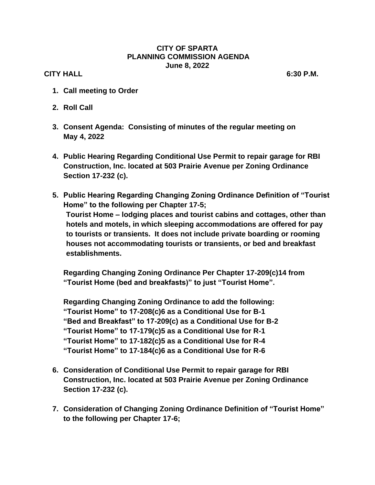## **CITY OF SPARTA PLANNING COMMISSION AGENDA June 8, 2022**

**CITY HALL 6:30 P.M.** 

- **1. Call meeting to Order**
- **2. Roll Call**
- **3. Consent Agenda: Consisting of minutes of the regular meeting on May 4, 2022**
- **4. Public Hearing Regarding Conditional Use Permit to repair garage for RBI Construction, Inc. located at 503 Prairie Avenue per Zoning Ordinance Section 17-232 (c).**
- **5. Public Hearing Regarding Changing Zoning Ordinance Definition of "Tourist Home" to the following per Chapter 17-5; Tourist Home – lodging places and tourist cabins and cottages, other than hotels and motels, in which sleeping accommodations are offered for pay to tourists or transients. It does not include private boarding or rooming houses not accommodating tourists or transients, or bed and breakfast establishments.**

**Regarding Changing Zoning Ordinance Per Chapter 17-209(c)14 from "Tourist Home (bed and breakfasts)" to just "Tourist Home".**

**Regarding Changing Zoning Ordinance to add the following: "Tourist Home" to 17-208(c)6 as a Conditional Use for B-1 "Bed and Breakfast" to 17-209(c) as a Conditional Use for B-2 "Tourist Home" to 17-179(c)5 as a Conditional Use for R-1 "Tourist Home" to 17-182(c)5 as a Conditional Use for R-4 "Tourist Home" to 17-184(c)6 as a Conditional Use for R-6**

- **6. Consideration of Conditional Use Permit to repair garage for RBI Construction, Inc. located at 503 Prairie Avenue per Zoning Ordinance Section 17-232 (c).**
- **7. Consideration of Changing Zoning Ordinance Definition of "Tourist Home" to the following per Chapter 17-6;**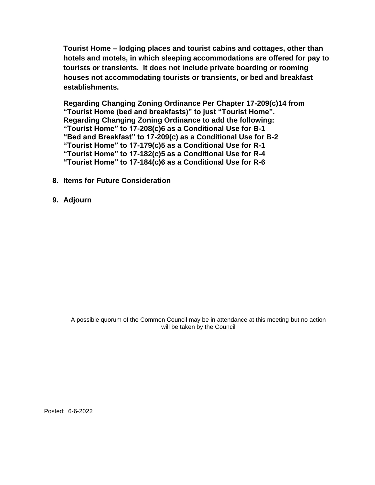**Tourist Home – lodging places and tourist cabins and cottages, other than hotels and motels, in which sleeping accommodations are offered for pay to tourists or transients. It does not include private boarding or rooming houses not accommodating tourists or transients, or bed and breakfast establishments.**

**Regarding Changing Zoning Ordinance Per Chapter 17-209(c)14 from "Tourist Home (bed and breakfasts)" to just "Tourist Home". Regarding Changing Zoning Ordinance to add the following: "Tourist Home" to 17-208(c)6 as a Conditional Use for B-1 "Bed and Breakfast" to 17-209(c) as a Conditional Use for B-2 "Tourist Home" to 17-179(c)5 as a Conditional Use for R-1 "Tourist Home" to 17-182(c)5 as a Conditional Use for R-4 "Tourist Home" to 17-184(c)6 as a Conditional Use for R-6**

**8. Items for Future Consideration**

## **9. Adjourn**

A possible quorum of the Common Council may be in attendance at this meeting but no action will be taken by the Council

Posted: 6-6-2022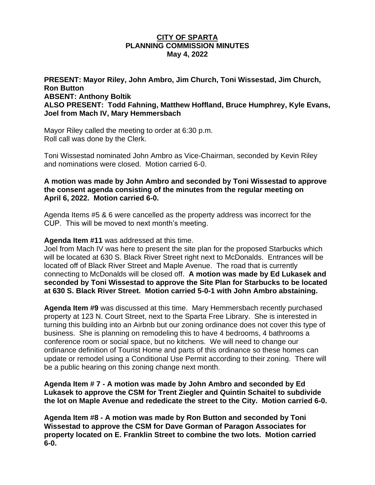### **CITY OF SPARTA PLANNING COMMISSION MINUTES May 4, 2022**

**PRESENT: Mayor Riley, John Ambro, Jim Church, Toni Wissestad, Jim Church, Ron Button ABSENT: Anthony Boltik ALSO PRESENT: Todd Fahning, Matthew Hoffland, Bruce Humphrey, Kyle Evans, Joel from Mach IV, Mary Hemmersbach**

Mayor Riley called the meeting to order at 6:30 p.m. Roll call was done by the Clerk.

Toni Wissestad nominated John Ambro as Vice-Chairman, seconded by Kevin Riley and nominations were closed. Motion carried 6-0.

## **A motion was made by John Ambro and seconded by Toni Wissestad to approve the consent agenda consisting of the minutes from the regular meeting on April 6, 2022. Motion carried 6-0.**

Agenda Items #5 & 6 were cancelled as the property address was incorrect for the CUP. This will be moved to next month's meeting.

## **Agenda Item #11** was addressed at this time.

Joel from Mach IV was here to present the site plan for the proposed Starbucks which will be located at 630 S. Black River Street right next to McDonalds. Entrances will be located off of Black River Street and Maple Avenue. The road that is currently connecting to McDonalds will be closed off. **A motion was made by Ed Lukasek and seconded by Toni Wissestad to approve the Site Plan for Starbucks to be located at 630 S. Black River Street. Motion carried 5-0-1 with John Ambro abstaining.**

**Agenda Item #9** was discussed at this time. Mary Hemmersbach recently purchased property at 123 N. Court Street, next to the Sparta Free Library. She is interested in turning this building into an Airbnb but our zoning ordinance does not cover this type of business. She is planning on remodeling this to have 4 bedrooms, 4 bathrooms a conference room or social space, but no kitchens. We will need to change our ordinance definition of Tourist Home and parts of this ordinance so these homes can update or remodel using a Conditional Use Permit according to their zoning. There will be a public hearing on this zoning change next month.

**Agenda Item # 7 - A motion was made by John Ambro and seconded by Ed Lukasek to approve the CSM for Trent Ziegler and Quintin Schaitel to subdivide the lot on Maple Avenue and rededicate the street to the City. Motion carried 6-0.**

**Agenda Item #8 - A motion was made by Ron Button and seconded by Toni Wissestad to approve the CSM for Dave Gorman of Paragon Associates for property located on E. Franklin Street to combine the two lots. Motion carried 6-0.**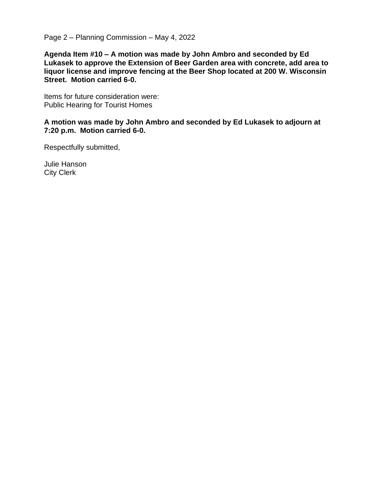Page 2 – Planning Commission – May 4, 2022

**Agenda Item #10 – A motion was made by John Ambro and seconded by Ed Lukasek to approve the Extension of Beer Garden area with concrete, add area to liquor license and improve fencing at the Beer Shop located at 200 W. Wisconsin Street. Motion carried 6-0.**

Items for future consideration were: Public Hearing for Tourist Homes

**A motion was made by John Ambro and seconded by Ed Lukasek to adjourn at 7:20 p.m. Motion carried 6-0.**

Respectfully submitted,

Julie Hanson City Clerk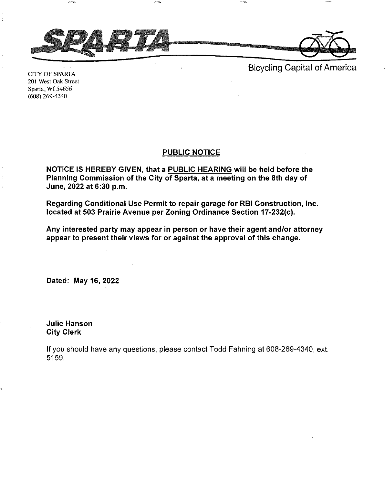



Bicycling Capital of America

CITY OF SPARTA 201 West Oak Street Sparta, WI 54656 (608) 269-4340

#### **PUBLIC NOTICE**

NOTICE IS HEREBY GIVEN, that a PUBLIC HEARING will be held before the Planning Commission of the City of Sparta, at a meeting on the 8th day of June, 2022 at 6:30 p,m.

Regarding Conditional Use Permit to repair garage for RBI Construction, lnc. located at 503 Prairie Avenue per Zoning Ordinance Section 17-232(c).

Any interested party may appear in person or have their agent and/or attorney appear to present their views for or against the approval of this change.

Dated: May 16,2022

Julie Hanson City Clerk

lf you should have any questions, please contact Todd Fahning at 608-269-4340, ext. 5159.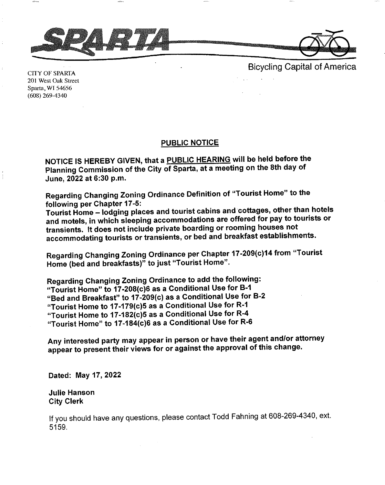



CITY OF SPARIA 201 West Oak Street Sparta, WI 54656 (608) 269-4340

Bicycling Capital of America

PUBLIC NOTICE

NOTICE IS HEREBY GIVEN, that a PUBLIC HEARING will be held before the Planning Commission of the City of Sparta, at a meeting on the 8th day of June,2022 at 6:30 P.m.

Regarding changing Zoning ordinance Definition of "Tourist Home" to the following per Chapter 17-5:

Tourist Home - lodging places and tourist cabins and cottages, other than hotels and motels, in which sleeping accommodations are offered for pay to tourists or transients. lt does not include private boarding or rooming houses not accommodating tourists or transients, or bed and breakfast establishments.

Regarding Changing Zoning Ordinance per Chapter 17-209(c)14 from "Tourist Home (bed and breakfasts)" to just "Tourist Home"'

Regarding Changing Zoning Ordinance to add the following: "Tourist Home" to 17-208(c)6 as a Conditional Use for B-1 "Bed and Breakfast" to 17-209(c) as a Conditional Use for B-2 "Tourist Home to 17-179(c)5 as a Conditional Use for R'1 "Tourist Home to 17-182(c)5 as a Conditional Use for R-4 "Tourist Home" to 17-184(c)6 as a Conditional Use for R-6

Any interested party may appear in person or have their agent and/or attorney "<br>"Pp"" to present their views for or against the approval of this change'

Dated: May 17, 2022

Julie Hanson City Clerk

lf you should have any questions, please contact Todd Fahning at 608-269-4340, ext 5159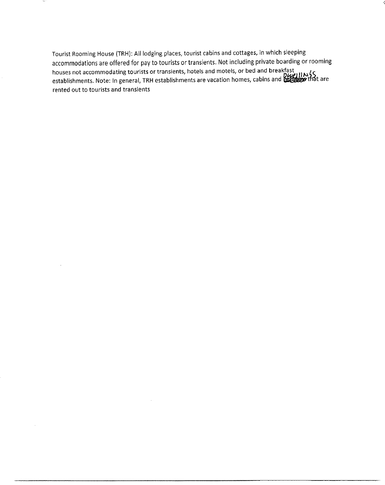Tourist Rooming House (TRH): All lodging places, tourist cabins and cottages, in which sleeping accommodations are offered for pay to tourists or transients, Not including private boarding or rooming houses not accommodating tourists or transients, hotels and motels, or bed and breakfast ... establishments. Note: In general, TRH establishments are vacation homes, cabins and **Englange that are** rented out to tourists and transients